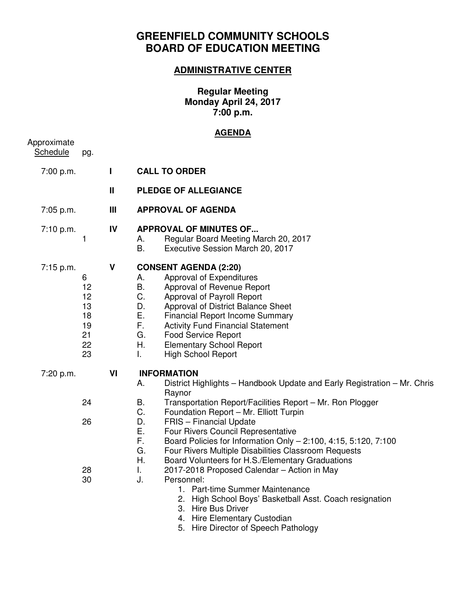## **GREENFIELD COMMUNITY SCHOOLS BOARD OF EDUCATION MEETING**

## **ADMINISTRATIVE CENTER**

**Regular Meeting Monday April 24, 2017 7:00 p.m.** 

## **AGENDA**

| Approximate<br>Schedule | pg.                                               |                |                                                                                                                                                                                                                                                                                                                                                                                                                                                                                                                                                                                          |  |  |  |
|-------------------------|---------------------------------------------------|----------------|------------------------------------------------------------------------------------------------------------------------------------------------------------------------------------------------------------------------------------------------------------------------------------------------------------------------------------------------------------------------------------------------------------------------------------------------------------------------------------------------------------------------------------------------------------------------------------------|--|--|--|
| 7:00 p.m.               |                                                   | $\mathbf{I}$   | <b>CALL TO ORDER</b>                                                                                                                                                                                                                                                                                                                                                                                                                                                                                                                                                                     |  |  |  |
|                         |                                                   | $\mathbf{I}$   | <b>PLEDGE OF ALLEGIANCE</b>                                                                                                                                                                                                                                                                                                                                                                                                                                                                                                                                                              |  |  |  |
| 7:05 p.m.               |                                                   | $\mathbf{III}$ | <b>APPROVAL OF AGENDA</b>                                                                                                                                                                                                                                                                                                                                                                                                                                                                                                                                                                |  |  |  |
| 7:10 p.m.               | $\mathbf{1}$                                      | IV             | <b>APPROVAL OF MINUTES OF</b><br>Regular Board Meeting March 20, 2017<br>А.<br><b>B.</b><br>Executive Session March 20, 2017                                                                                                                                                                                                                                                                                                                                                                                                                                                             |  |  |  |
| 7:15 p.m.               | 6<br>12<br>12<br>13<br>18<br>19<br>21<br>22<br>23 | V              | <b>CONSENT AGENDA (2:20)</b><br>Approval of Expenditures<br>Α.<br>В.<br>Approval of Revenue Report<br>C.<br>Approval of Payroll Report<br>D.<br>Approval of District Balance Sheet<br>Е.<br><b>Financial Report Income Summary</b><br>F.<br><b>Activity Fund Financial Statement</b><br>G.<br><b>Food Service Report</b><br>Η.<br><b>Elementary School Report</b><br>T.<br><b>High School Report</b>                                                                                                                                                                                     |  |  |  |
| 7:20 p.m.               | 24<br>26<br>28<br>30                              | VI             | <b>INFORMATION</b><br>District Highlights - Handbook Update and Early Registration - Mr. Chris<br>А.<br>Raynor<br>Transportation Report/Facilities Report - Mr. Ron Plogger<br>В.<br>C.<br>Foundation Report - Mr. Elliott Turpin<br>FRIS - Financial Update<br>D.<br>Ε.<br>Four Rivers Council Representative<br>F.<br>Board Policies for Information Only - 2:100, 4:15, 5:120, 7:100<br>G.<br>Four Rivers Multiple Disabilities Classroom Requests<br>Η.<br>Board Volunteers for H.S./Elementary Graduations<br>L.<br>2017-2018 Proposed Calendar - Action in May<br>J.<br>Personnel: |  |  |  |
|                         |                                                   |                | 1. Part-time Summer Maintenance<br>2. High School Boys' Basketball Asst. Coach resignation<br><b>Hire Bus Driver</b><br>3.<br>4. Hire Elementary Custodian                                                                                                                                                                                                                                                                                                                                                                                                                               |  |  |  |

5. Hire Director of Speech Pathology